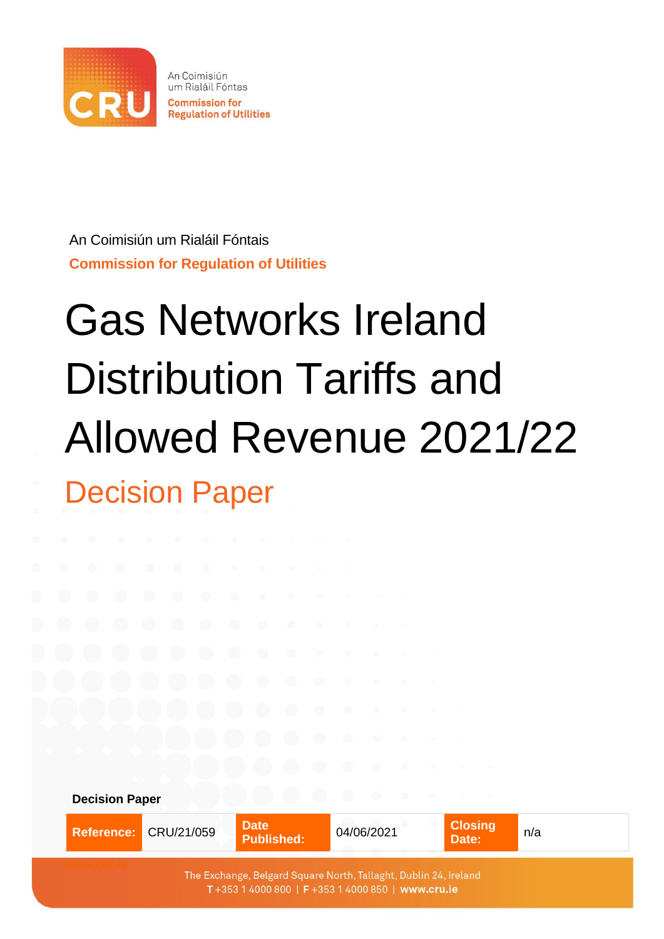

An Coimisiún um Rialáil Fóntais

#### **Commission for Regulation of Utilities**

# Gas Networks Ireland Distribution Tariffs and Allowed Revenue 2021/22 Decision Paper

| <b>Decision Paper</b> |                       |                                  |                             |                         |     |
|-----------------------|-----------------------|----------------------------------|-----------------------------|-------------------------|-----|
|                       | Reference: CRU/21/059 | <b>Date</b><br><b>Published:</b> | 04/06/2021<br><b>ACTIVE</b> | <b>Closing</b><br>Date: | n/a |
|                       |                       |                                  |                             |                         |     |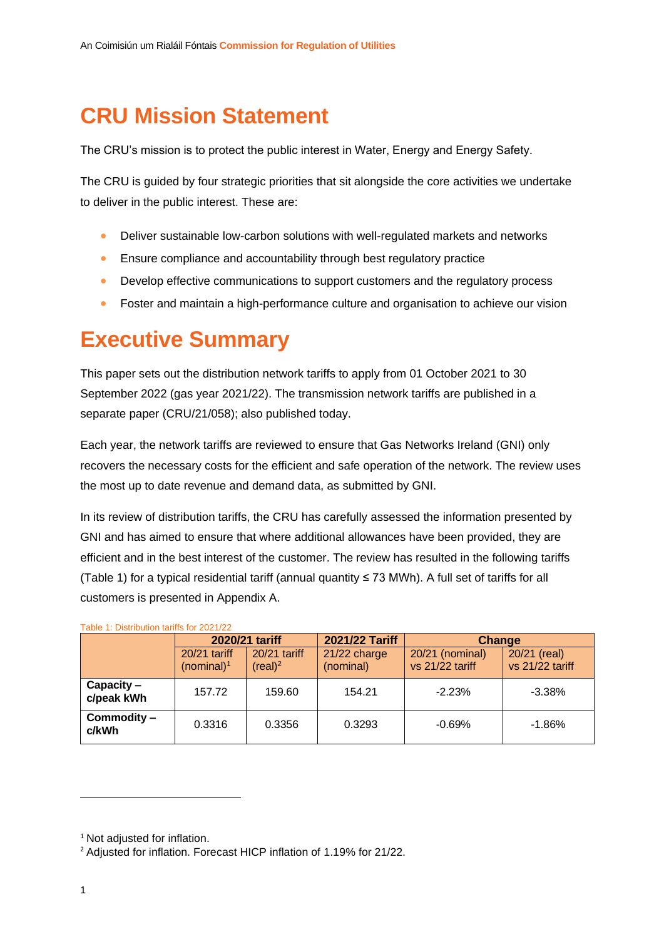# **CRU Mission Statement**

The CRU's mission is to protect the public interest in Water, Energy and Energy Safety.

The CRU is guided by four strategic priorities that sit alongside the core activities we undertake to deliver in the public interest. These are:

- Deliver sustainable low-carbon solutions with well-regulated markets and networks
- Ensure compliance and accountability through best regulatory practice
- Develop effective communications to support customers and the regulatory process
- Foster and maintain a high-performance culture and organisation to achieve our vision

## **Executive Summary**

This paper sets out the distribution network tariffs to apply from 01 October 2021 to 30 September 2022 (gas year 2021/22). The transmission network tariffs are published in a separate paper (CRU/21/058); also published today.

Each year, the network tariffs are reviewed to ensure that Gas Networks Ireland (GNI) only recovers the necessary costs for the efficient and safe operation of the network. The review uses the most up to date revenue and demand data, as submitted by GNI.

In its review of distribution tariffs, the CRU has carefully assessed the information presented by GNI and has aimed to ensure that where additional allowances have been provided, they are efficient and in the best interest of the customer. The review has resulted in the following tariffs [\(Table 1\)](#page-1-0) for a typical residential tariff (annual quantity ≤ 73 MWh). A full set of tariffs for all customers is presented in Appendix A.

|                          | 2020/21 tariff                  |                                     | 2021/22 Tariff            | Change                             |                                 |  |
|--------------------------|---------------------------------|-------------------------------------|---------------------------|------------------------------------|---------------------------------|--|
|                          | $20/21$ tariff<br>(nominal) $1$ | 20/21 tariff<br>(real) <sup>2</sup> | 21/22 charge<br>(nominal) | 20/21 (nominal)<br>vs 21/22 tariff | 20/21 (real)<br>vs 21/22 tariff |  |
| Capacity –<br>c/peak kWh | 157.72                          | 159.60                              | 154.21                    | $-2.23%$                           | $-3.38%$                        |  |
| Commodity -<br>c/kWh     | 0.3316                          | 0.3356                              | 0.3293                    | $-0.69%$                           | $-1.86%$                        |  |

#### <span id="page-1-0"></span>Table 1: Distribution tariffs for 2021/22

<sup>&</sup>lt;sup>1</sup> Not adjusted for inflation.

<sup>&</sup>lt;sup>2</sup> Adjusted for inflation. Forecast HICP inflation of 1.19% for 21/22.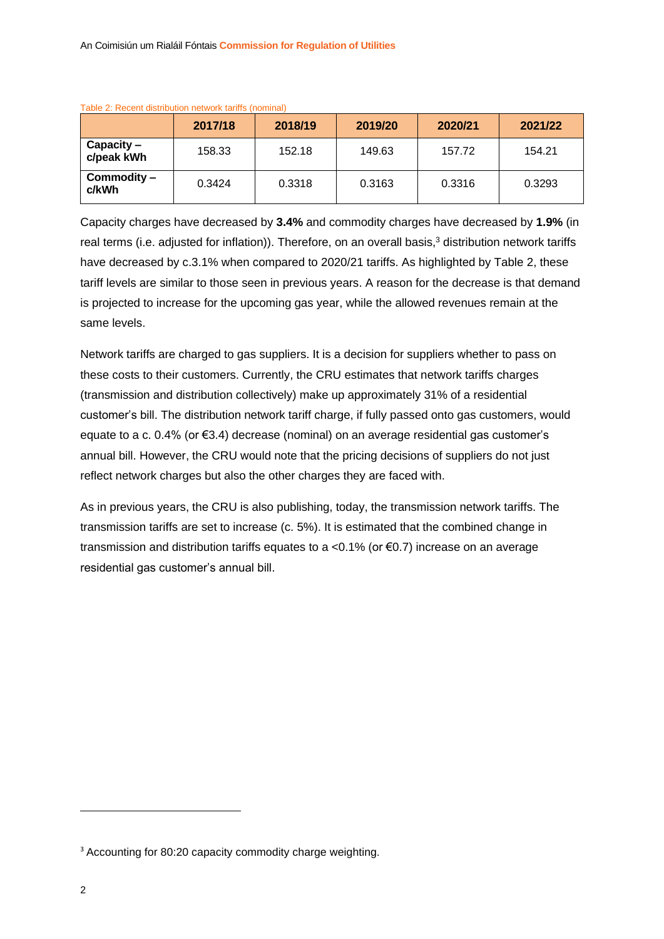|                            | 2017/18 | 2018/19 | 2019/20 | 2020/21 | 2021/22 |
|----------------------------|---------|---------|---------|---------|---------|
| $Capacity -$<br>c/peak kWh | 158.33  | 152.18  | 149.63  | 157.72  | 154.21  |
| Commodity -<br>c/kWh       | 0.3424  | 0.3318  | 0.3163  | 0.3316  | 0.3293  |

<span id="page-2-0"></span>Table 2: Recent distribution network tariffs (nominal)

Capacity charges have decreased by **3.4%** and commodity charges have decreased by **1.9%** (in real terms (i.e. adjusted for inflation)). Therefore, on an overall basis,<sup>3</sup> distribution network tariffs have decreased by c.3.1% when compared to 2020/21 tariffs. As highlighted by [Table 2,](#page-2-0) these tariff levels are similar to those seen in previous years. A reason for the decrease is that demand is projected to increase for the upcoming gas year, while the allowed revenues remain at the same levels.

Network tariffs are charged to gas suppliers. It is a decision for suppliers whether to pass on these costs to their customers. Currently, the CRU estimates that network tariffs charges (transmission and distribution collectively) make up approximately 31% of a residential customer's bill. The distribution network tariff charge, if fully passed onto gas customers, would equate to a c. 0.4% (or €3.4) decrease (nominal) on an average residential gas customer's annual bill. However, the CRU would note that the pricing decisions of suppliers do not just reflect network charges but also the other charges they are faced with.

As in previous years, the CRU is also publishing, today, the transmission network tariffs. The transmission tariffs are set to increase (c. 5%). It is estimated that the combined change in transmission and distribution tariffs equates to a <0.1% (or  $\epsilon$ 0.7) increase on an average residential gas customer's annual bill.

<sup>&</sup>lt;sup>3</sup> Accounting for 80:20 capacity commodity charge weighting.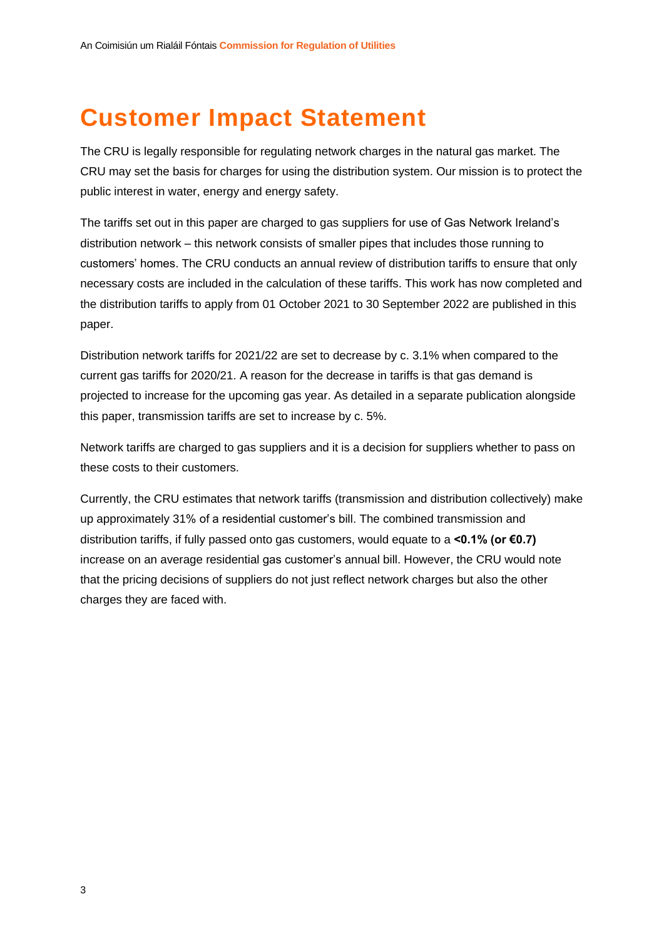# <span id="page-3-0"></span>**Customer Impact Statement**

The CRU is legally responsible for regulating network charges in the natural gas market. The CRU may set the basis for charges for using the distribution system. Our mission is to protect the public interest in water, energy and energy safety.

The tariffs set out in this paper are charged to gas suppliers for use of Gas Network Ireland's distribution network – this network consists of smaller pipes that includes those running to customers' homes. The CRU conducts an annual review of distribution tariffs to ensure that only necessary costs are included in the calculation of these tariffs. This work has now completed and the distribution tariffs to apply from 01 October 2021 to 30 September 2022 are published in this paper.

Distribution network tariffs for 2021/22 are set to decrease by c. 3.1% when compared to the current gas tariffs for 2020/21. A reason for the decrease in tariffs is that gas demand is projected to increase for the upcoming gas year. As detailed in a separate publication alongside this paper, transmission tariffs are set to increase by c. 5%.

Network tariffs are charged to gas suppliers and it is a decision for suppliers whether to pass on these costs to their customers.

Currently, the CRU estimates that network tariffs (transmission and distribution collectively) make up approximately 31% of a residential customer's bill. The combined transmission and distribution tariffs, if fully passed onto gas customers, would equate to a **<0.1% (or €0.7)** increase on an average residential gas customer's annual bill. However, the CRU would note that the pricing decisions of suppliers do not just reflect network charges but also the other charges they are faced with.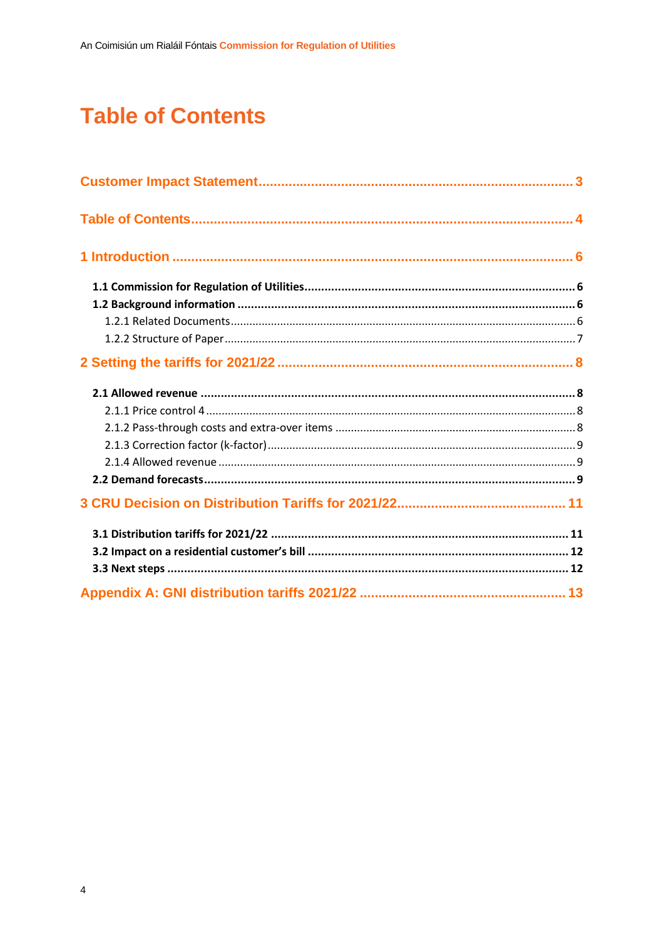# <span id="page-4-0"></span>**Table of Contents**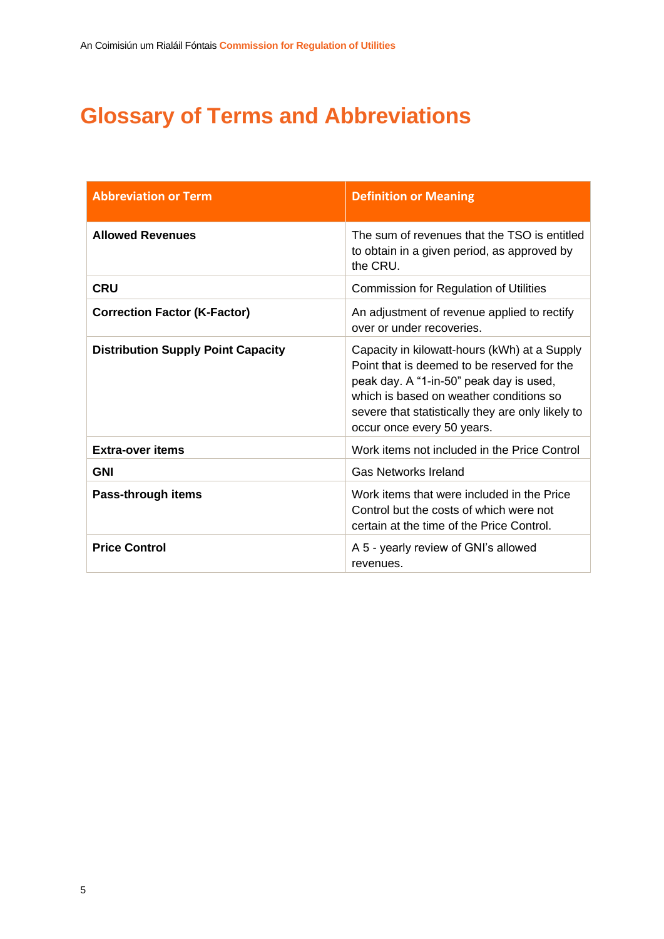# **Glossary of Terms and Abbreviations**

| <b>Abbreviation or Term</b>               | <b>Definition or Meaning</b>                                                                                                                                                                                                                                         |
|-------------------------------------------|----------------------------------------------------------------------------------------------------------------------------------------------------------------------------------------------------------------------------------------------------------------------|
| <b>Allowed Revenues</b>                   | The sum of revenues that the TSO is entitled<br>to obtain in a given period, as approved by<br>the CRU.                                                                                                                                                              |
| <b>CRU</b>                                | <b>Commission for Regulation of Utilities</b>                                                                                                                                                                                                                        |
| <b>Correction Factor (K-Factor)</b>       | An adjustment of revenue applied to rectify<br>over or under recoveries.                                                                                                                                                                                             |
| <b>Distribution Supply Point Capacity</b> | Capacity in kilowatt-hours (kWh) at a Supply<br>Point that is deemed to be reserved for the<br>peak day. A "1-in-50" peak day is used,<br>which is based on weather conditions so<br>severe that statistically they are only likely to<br>occur once every 50 years. |
| <b>Extra-over items</b>                   | Work items not included in the Price Control                                                                                                                                                                                                                         |
| <b>GNI</b>                                | <b>Gas Networks Ireland</b>                                                                                                                                                                                                                                          |
| Pass-through items                        | Work items that were included in the Price<br>Control but the costs of which were not<br>certain at the time of the Price Control.                                                                                                                                   |
| <b>Price Control</b>                      | A 5 - yearly review of GNI's allowed<br>revenues.                                                                                                                                                                                                                    |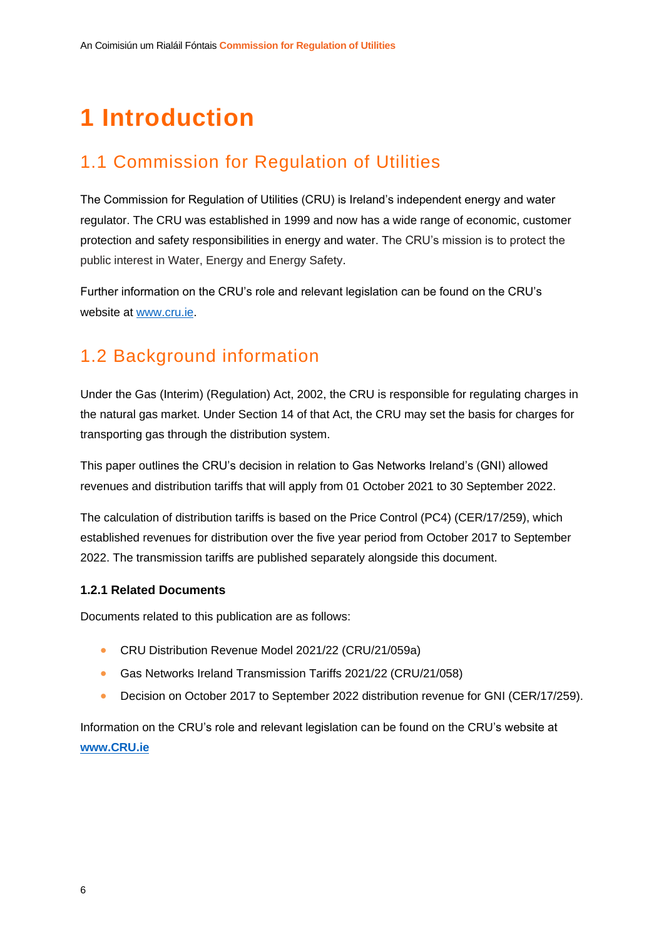# <span id="page-6-0"></span>**1 Introduction**

### <span id="page-6-1"></span>1.1 Commission for Regulation of Utilities

The Commission for Regulation of Utilities (CRU) is Ireland's independent energy and water regulator. The CRU was established in 1999 and now has a wide range of economic, customer protection and safety responsibilities in energy and water. The CRU's mission is to protect the public interest in Water, Energy and Energy Safety.

Further information on the CRU's role and relevant legislation can be found on the CRU's website at [www.cru.ie.](http://www.cru.ie/)

### <span id="page-6-2"></span>1.2 Background information

Under the Gas (Interim) (Regulation) Act, 2002, the CRU is responsible for regulating charges in the natural gas market. Under Section 14 of that Act, the CRU may set the basis for charges for transporting gas through the distribution system.

This paper outlines the CRU's decision in relation to Gas Networks Ireland's (GNI) allowed revenues and distribution tariffs that will apply from 01 October 2021 to 30 September 2022.

The calculation of distribution tariffs is based on the Price Control (PC4) (CER/17/259), which established revenues for distribution over the five year period from October 2017 to September 2022. The transmission tariffs are published separately alongside this document.

#### <span id="page-6-3"></span>**1.2.1 Related Documents**

Documents related to this publication are as follows:

- CRU Distribution Revenue Model 2021/22 (CRU/21/059a)
- Gas Networks Ireland Transmission Tariffs 2021/22 (CRU/21/058)
- Decision on October 2017 to September 2022 distribution revenue for GNI (CER/17/259).

Information on the CRU's role and relevant legislation can be found on the CRU's website at **[www.CRU.ie](http://www.cru.ie/)**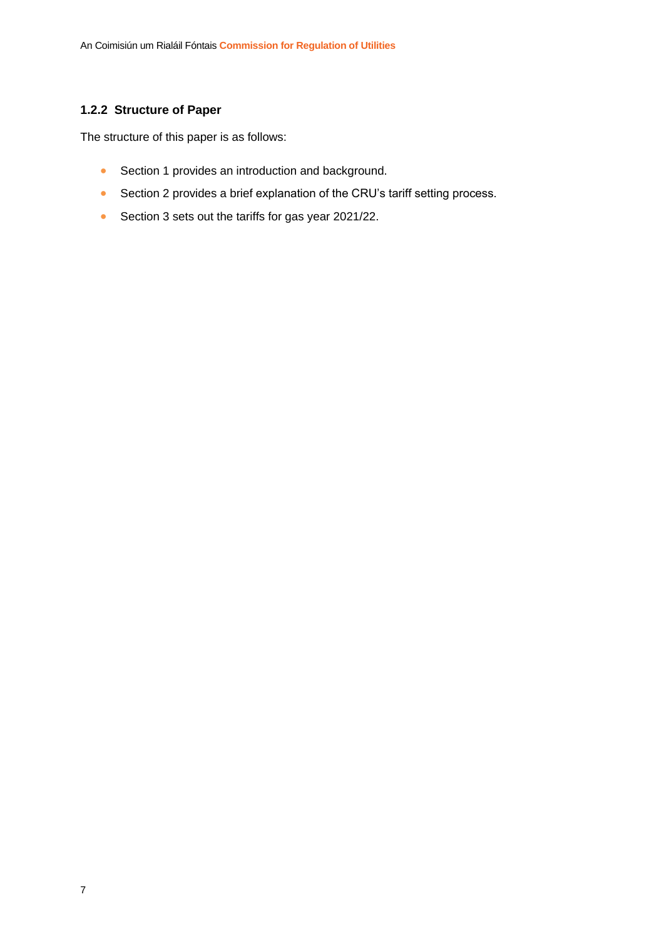#### <span id="page-7-0"></span>**1.2.2 Structure of Paper**

The structure of this paper is as follows:

- Section 1 provides an introduction and background.
- Section 2 provides a brief explanation of the CRU's tariff setting process.
- Section 3 sets out the tariffs for gas year 2021/22.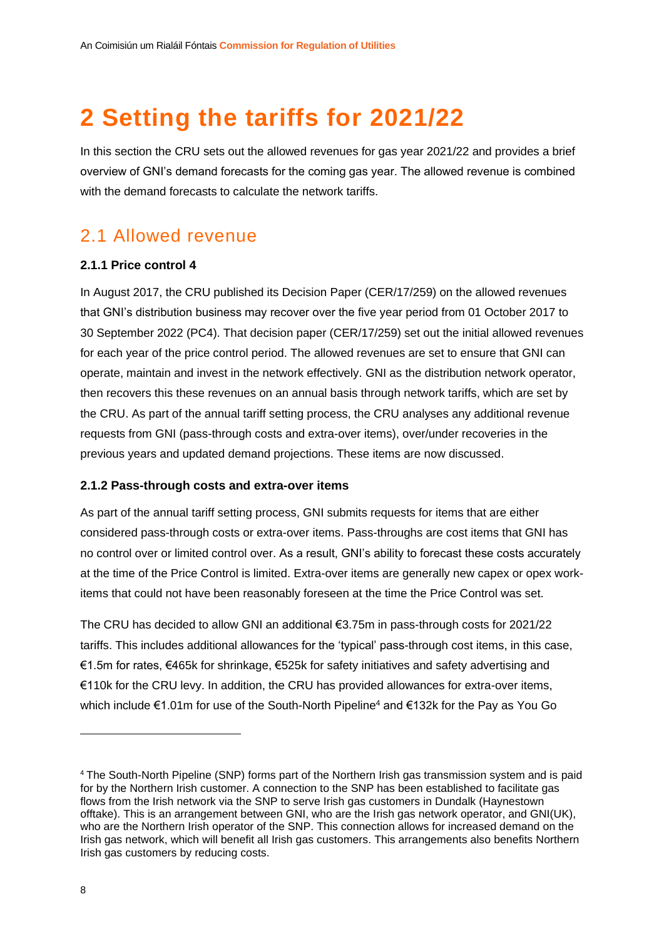# <span id="page-8-0"></span>**2 Setting the tariffs for 2021/22**

In this section the CRU sets out the allowed revenues for gas year 2021/22 and provides a brief overview of GNI's demand forecasts for the coming gas year. The allowed revenue is combined with the demand forecasts to calculate the network tariffs.

### <span id="page-8-1"></span>2.1 Allowed revenue

#### <span id="page-8-2"></span>**2.1.1 Price control 4**

In August 2017, the CRU published its Decision Paper (CER/17/259) on the allowed revenues that GNI's distribution business may recover over the five year period from 01 October 2017 to 30 September 2022 (PC4). That decision paper (CER/17/259) set out the initial allowed revenues for each year of the price control period. The allowed revenues are set to ensure that GNI can operate, maintain and invest in the network effectively. GNI as the distribution network operator, then recovers this these revenues on an annual basis through network tariffs, which are set by the CRU. As part of the annual tariff setting process, the CRU analyses any additional revenue requests from GNI (pass-through costs and extra-over items), over/under recoveries in the previous years and updated demand projections. These items are now discussed.

#### <span id="page-8-3"></span>**2.1.2 Pass-through costs and extra-over items**

As part of the annual tariff setting process, GNI submits requests for items that are either considered pass-through costs or extra-over items. Pass-throughs are cost items that GNI has no control over or limited control over. As a result, GNI's ability to forecast these costs accurately at the time of the Price Control is limited. Extra-over items are generally new capex or opex workitems that could not have been reasonably foreseen at the time the Price Control was set.

The CRU has decided to allow GNI an additional €3.75m in pass-through costs for 2021/22 tariffs. This includes additional allowances for the 'typical' pass-through cost items, in this case, €1.5m for rates, €465k for shrinkage, €525k for safety initiatives and safety advertising and €110k for the CRU levy. In addition, the CRU has provided allowances for extra-over items, which include €1.01m for use of the South-North Pipeline<sup>4</sup> and €132k for the Pay as You Go

<sup>4</sup> The South-North Pipeline (SNP) forms part of the Northern Irish gas transmission system and is paid for by the Northern Irish customer. A connection to the SNP has been established to facilitate gas flows from the Irish network via the SNP to serve Irish gas customers in Dundalk (Haynestown offtake). This is an arrangement between GNI, who are the Irish gas network operator, and GNI(UK), who are the Northern Irish operator of the SNP. This connection allows for increased demand on the Irish gas network, which will benefit all Irish gas customers. This arrangements also benefits Northern Irish gas customers by reducing costs.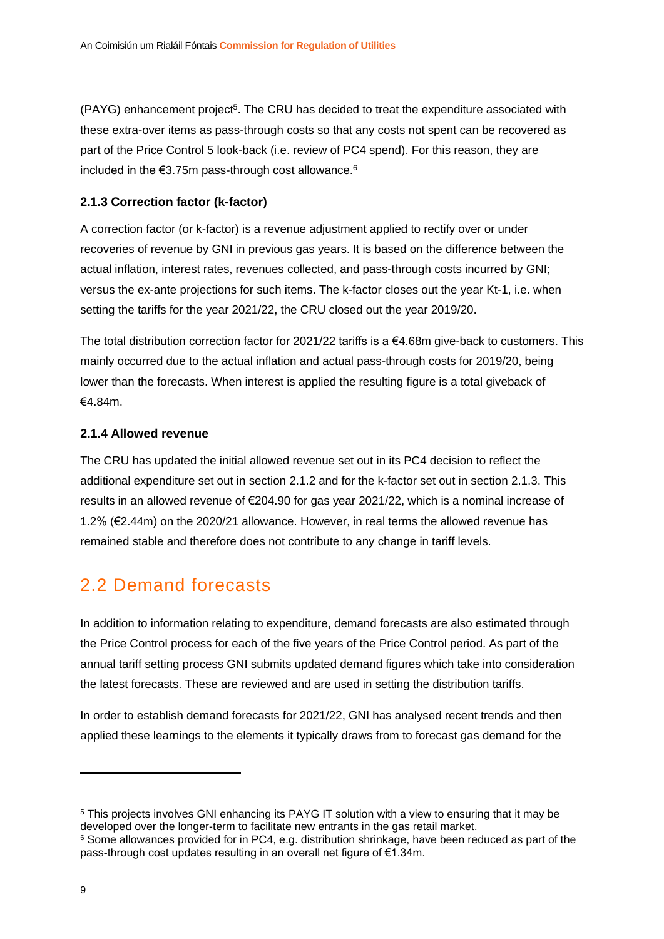(PAYG) enhancement project<sup>5</sup>. The CRU has decided to treat the expenditure associated with these extra-over items as pass-through costs so that any costs not spent can be recovered as part of the Price Control 5 look-back (i.e. review of PC4 spend). For this reason, they are included in the  $€3.75m$  pass-through cost allowance.<sup>6</sup>

#### <span id="page-9-0"></span>**2.1.3 Correction factor (k-factor)**

A correction factor (or k-factor) is a revenue adjustment applied to rectify over or under recoveries of revenue by GNI in previous gas years. It is based on the difference between the actual inflation, interest rates, revenues collected, and pass-through costs incurred by GNI; versus the ex-ante projections for such items. The k-factor closes out the year Kt-1, i.e. when setting the tariffs for the year 2021/22, the CRU closed out the year 2019/20.

The total distribution correction factor for 2021/22 tariffs is a  $\epsilon$ 4.68m give-back to customers. This mainly occurred due to the actual inflation and actual pass-through costs for 2019/20, being lower than the forecasts. When interest is applied the resulting figure is a total giveback of €4.84m.

#### <span id="page-9-1"></span>**2.1.4 Allowed revenue**

The CRU has updated the initial allowed revenue set out in its PC4 decision to reflect the additional expenditure set out in section [2.1.2](#page-8-3) and for the k-factor set out in section [2.1.3.](#page-9-0) This results in an allowed revenue of €204.90 for gas year 2021/22, which is a nominal increase of 1.2% (€2.44m) on the 2020/21 allowance. However, in real terms the allowed revenue has remained stable and therefore does not contribute to any change in tariff levels.

### <span id="page-9-2"></span>2.2 Demand forecasts

In addition to information relating to expenditure, demand forecasts are also estimated through the Price Control process for each of the five years of the Price Control period. As part of the annual tariff setting process GNI submits updated demand figures which take into consideration the latest forecasts. These are reviewed and are used in setting the distribution tariffs.

In order to establish demand forecasts for 2021/22, GNI has analysed recent trends and then applied these learnings to the elements it typically draws from to forecast gas demand for the

<sup>5</sup> This projects involves GNI enhancing its PAYG IT solution with a view to ensuring that it may be developed over the longer-term to facilitate new entrants in the gas retail market.

<sup>6</sup> Some allowances provided for in PC4, e.g. distribution shrinkage, have been reduced as part of the pass-through cost updates resulting in an overall net figure of €1.34m.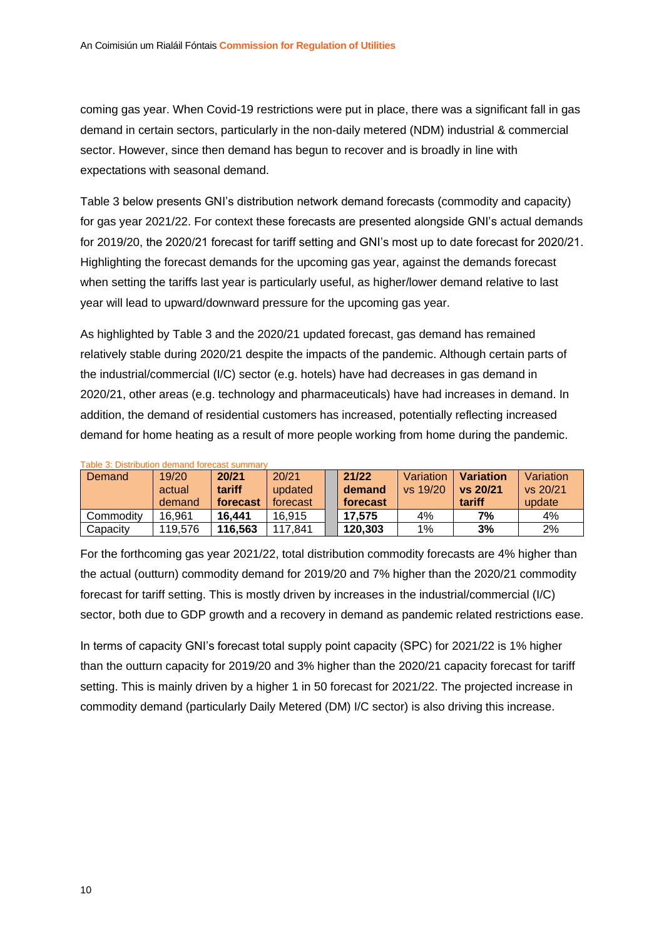coming gas year. When Covid-19 restrictions were put in place, there was a significant fall in gas demand in certain sectors, particularly in the non-daily metered (NDM) industrial & commercial sector. However, since then demand has begun to recover and is broadly in line with expectations with seasonal demand.

[Table 3](#page-10-0) below presents GNI's distribution network demand forecasts (commodity and capacity) for gas year 2021/22. For context these forecasts are presented alongside GNI's actual demands for 2019/20, the 2020/21 forecast for tariff setting and GNI's most up to date forecast for 2020/21. Highlighting the forecast demands for the upcoming gas year, against the demands forecast when setting the tariffs last year is particularly useful, as higher/lower demand relative to last year will lead to upward/downward pressure for the upcoming gas year.

As highlighted by [Table 3](#page-10-0) and the 2020/21 updated forecast, gas demand has remained relatively stable during 2020/21 despite the impacts of the pandemic. Although certain parts of the industrial/commercial (I/C) sector (e.g. hotels) have had decreases in gas demand in 2020/21, other areas (e.g. technology and pharmaceuticals) have had increases in demand. In addition, the demand of residential customers has increased, potentially reflecting increased demand for home heating as a result of more people working from home during the pandemic.

| Demand    | 19/20<br>actual<br>demand | 20/21<br>tariff<br>forecast | 20/21<br>updated<br>forecast | 21/22<br>demand<br>forecast | Variation<br>vs 19/20 | <b>Variation</b><br>vs 20/21<br>tariff | Variation<br>vs 20/21<br>update |
|-----------|---------------------------|-----------------------------|------------------------------|-----------------------------|-----------------------|----------------------------------------|---------------------------------|
| Commodity | 16.961                    | 16.441                      | 16.915                       | 17.575                      | 4%                    | 7%                                     | 4%                              |
| Capacity  | 119.576                   | 116.563                     | 117.841                      | 120.303                     | 1%                    | 3%                                     | 2%                              |

<span id="page-10-0"></span>Table 3: Distribution demand forecast summary

For the forthcoming gas year 2021/22, total distribution commodity forecasts are 4% higher than the actual (outturn) commodity demand for 2019/20 and 7% higher than the 2020/21 commodity forecast for tariff setting. This is mostly driven by increases in the industrial/commercial (I/C) sector, both due to GDP growth and a recovery in demand as pandemic related restrictions ease.

In terms of capacity GNI's forecast total supply point capacity (SPC) for 2021/22 is 1% higher than the outturn capacity for 2019/20 and 3% higher than the 2020/21 capacity forecast for tariff setting. This is mainly driven by a higher 1 in 50 forecast for 2021/22. The projected increase in commodity demand (particularly Daily Metered (DM) I/C sector) is also driving this increase.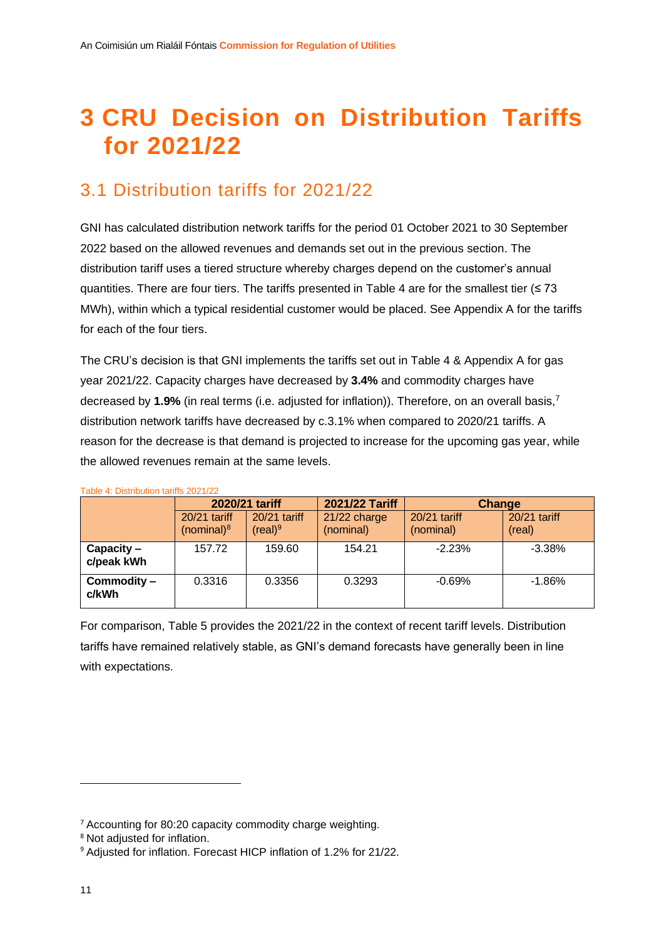# <span id="page-11-0"></span>**3 CRU Decision on Distribution Tariffs for 2021/22**

### <span id="page-11-1"></span>3.1 Distribution tariffs for 2021/22

GNI has calculated distribution network tariffs for the period 01 October 2021 to 30 September 2022 based on the allowed revenues and demands set out in the previous section. The distribution tariff uses a tiered structure whereby charges depend on the customer's annual quantities. There are four tiers. The tariffs presented in [Table 4](#page-11-2) are for the smallest tier ( $\leq 73$ ) MWh), within which a typical residential customer would be placed. See Appendix A for the tariffs for each of the four tiers.

The CRU's decision is that GNI implements the tariffs set out in [Table 4](#page-11-2) & Appendix A for gas year 2021/22. Capacity charges have decreased by **3.4%** and commodity charges have decreased by **1.9%** (in real terms (i.e. adjusted for inflation)). Therefore, on an overall basis,<sup>7</sup> distribution network tariffs have decreased by c.3.1% when compared to 2020/21 tariffs. A reason for the decrease is that demand is projected to increase for the upcoming gas year, while the allowed revenues remain at the same levels.

|                            |                                 | 2020/21 tariff                      | 2021/22 Tariff            | Change                    |                        |  |
|----------------------------|---------------------------------|-------------------------------------|---------------------------|---------------------------|------------------------|--|
|                            | $20/21$ tariff<br>(nominal) $8$ | 20/21 tariff<br>(real) <sup>9</sup> | 21/22 charge<br>(nominal) | 20/21 tariff<br>(nominal) | 20/21 tariff<br>(real) |  |
| $Capacity -$<br>c/peak kWh | 157.72                          | 159.60                              | 154.21                    | $-2.23%$                  | $-3.38\%$              |  |
| Commodity -<br>c/kWh       | 0.3316                          | 0.3356                              | 0.3293                    | $-0.69%$                  | $-1.86\%$              |  |

<span id="page-11-2"></span>Table 4: Distribution tariffs 2021/22

For comparison, [Table 5](#page-12-2) provides the 2021/22 in the context of recent tariff levels. Distribution tariffs have remained relatively stable, as GNI's demand forecasts have generally been in line with expectations.

<sup>7</sup> Accounting for 80:20 capacity commodity charge weighting.

<sup>8</sup> Not adjusted for inflation.

<sup>&</sup>lt;sup>9</sup> Adjusted for inflation. Forecast HICP inflation of 1.2% for 21/22.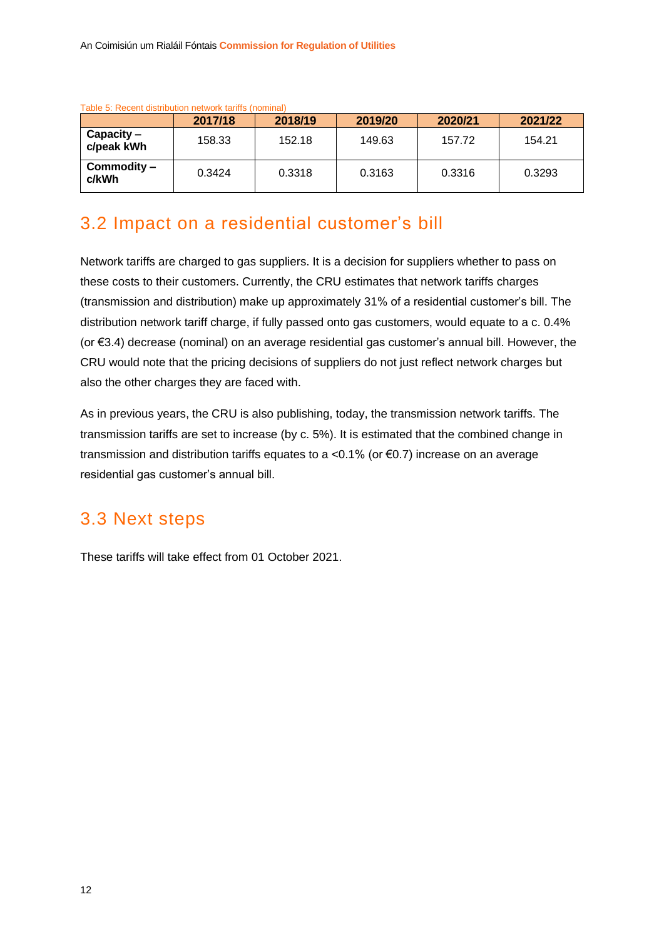| ו מטוס ט. תפטפות טוסנווטטווטו וופנשטות נמווווס נווטוווווומו |         |         |         |         |         |  |  |  |
|-------------------------------------------------------------|---------|---------|---------|---------|---------|--|--|--|
|                                                             | 2017/18 | 2018/19 | 2019/20 | 2020/21 | 2021/22 |  |  |  |
| $Capacity -$<br>c/peak kWh                                  | 158.33  | 152.18  | 149.63  | 157.72  | 154.21  |  |  |  |
| Commodity –<br>c/kWh                                        | 0.3424  | 0.3318  | 0.3163  | 0.3316  | 0.3293  |  |  |  |

<span id="page-12-2"></span>Table 5: Recent distribution network tariffs (nominal)

### <span id="page-12-0"></span>3.2 Impact on a residential customer's bill

Network tariffs are charged to gas suppliers. It is a decision for suppliers whether to pass on these costs to their customers. Currently, the CRU estimates that network tariffs charges (transmission and distribution) make up approximately 31% of a residential customer's bill. The distribution network tariff charge, if fully passed onto gas customers, would equate to a c. 0.4% (or €3.4) decrease (nominal) on an average residential gas customer's annual bill. However, the CRU would note that the pricing decisions of suppliers do not just reflect network charges but also the other charges they are faced with.

As in previous years, the CRU is also publishing, today, the transmission network tariffs. The transmission tariffs are set to increase (by c. 5%). It is estimated that the combined change in transmission and distribution tariffs equates to a <0.1% (or €0.7) increase on an average residential gas customer's annual bill.

### <span id="page-12-1"></span>3.3 Next steps

These tariffs will take effect from 01 October 2021.